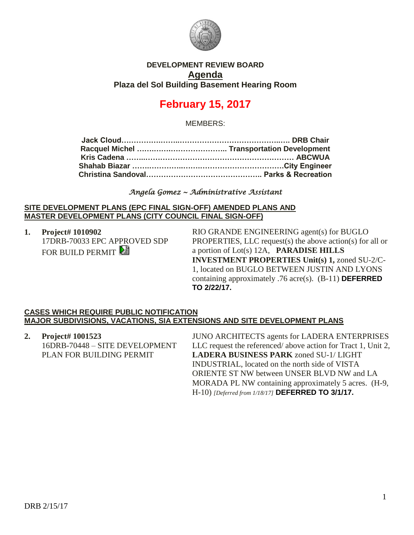

## **DEVELOPMENT REVIEW BOARD Agenda Plaza del Sol Building Basement Hearing Room**

# **February 15, 2017**

MEMBERS:

### *Angela Gomez ~ Administrative Assistant*

#### **SITE DEVELOPMENT PLANS (EPC FINAL SIGN-OFF) AMENDED PLANS AND MASTER DEVELOPMENT PLANS (CITY COUNCIL FINAL SIGN-OFF)**

**1. Project# 1010902** 17DRB-70033 EPC APPROVED SDP FOR BUILD PERMIT

RIO GRANDE ENGINEERING agent(s) for BUGLO PROPERTIES, LLC request(s) the above action(s) for all or a portion of Lot(s) 12A, **PARADISE HILLS INVESTMENT PROPERTIES Unit(s) 1,** zoned SU-2/C-1, located on BUGLO BETWEEN JUSTIN AND LYONS containing approximately .76 acre(s). (B-11) **DEFERRED TO 2/22/17.**

#### **CASES WHICH REQUIRE PUBLIC NOTIFICATION MAJOR SUBDIVISIONS, VACATIONS, SIA EXTENSIONS AND SITE DEVELOPMENT PLANS**

**2. Project# 1001523** 16DRB-70448 – SITE DEVELOPMENT PLAN FOR BUILDING PERMIT JUNO ARCHITECTS agents for LADERA ENTERPRISES LLC request the referenced/ above action for Tract 1, Unit 2, **LADERA BUSINESS PARK** zoned SU-1/ LIGHT INDUSTRIAL, located on the north side of VISTA ORIENTE ST NW between UNSER BLVD NW and LA MORADA PL NW containing approximately 5 acres. (H-9, H-10) *[Deferred from 1/18/17]* **DEFERRED TO 3/1/17.**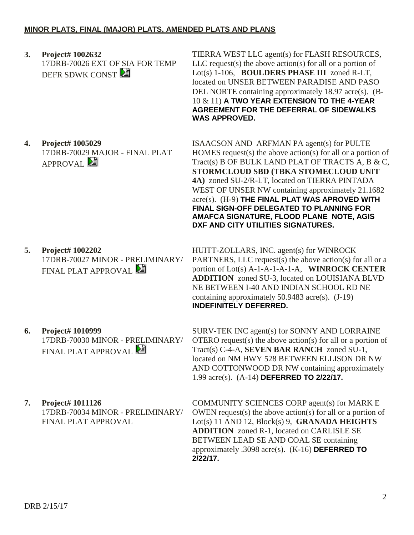**3. Project# 1002632** 17DRB-70026 EXT OF SIA FOR TEMP DEFR SDWK CONST

#### TIERRA WEST LLC agent(s) for FLASH RESOURCES,  $LLC$  request(s) the above action(s) for all or a portion of Lot(s) 1-106, **BOULDERS PHASE III** zoned R-LT, located on UNSER BETWEEN PARADISE AND PASO DEL NORTE containing approximately 18.97 acre(s). (B-10 & 11) **A TWO YEAR EXTENSION TO THE 4-YEAR AGREEMENT FOR THE DEFERRAL OF SIDEWALKS WAS APPROVED.**

**4A)** zoned SU-2/R-LT, located on TIERRA PINTADA WEST OF UNSER NW containing approximately 21.1682 acre(s). (H-9) **THE FINAL PLAT WAS APROVED WITH FINAL SIGN-OFF DELEGATED TO PLANNING FOR AMAFCA SIGNATURE, FLOOD PLANE NOTE, AGIS** 

**DXF AND CITY UTILITIES SIGNATURES.**

**4. Project# 1005029** 17DRB-70029 MAJOR - FINAL PLAT  $APPROVAL}$ ISAACSON AND ARFMAN PA agent(s) for PULTE HOMES request(s) the above action(s) for all or a portion of Tract(s) B OF BULK LAND PLAT OF TRACTS A, B & C, **STORMCLOUD SBD (TBKA STOMECLOUD UNIT** 

**5. Project# 1002202** 17DRB-70027 MINOR - PRELIMINARY/ FINAL PLAT APPROVAL

- HUITT-ZOLLARS, INC. agent(s) for WINROCK PARTNERS, LLC request(s) the above action(s) for all or a portion of Lot(s) A-1-A-1-A-1-A, **WINROCK CENTER ADDITION** zoned SU-3, located on LOUISIANA BLVD NE BETWEEN I-40 AND INDIAN SCHOOL RD NE containing approximately 50.9483 acre(s). (J-19) **INDEFINITELY DEFERRED.**
- **6. Project# 1010999** 17DRB-70030 MINOR - PRELIMINARY/ FINAL PLAT APPROVAL **PE**
- **7. Project# 1011126** 17DRB-70034 MINOR - PRELIMINARY/ FINAL PLAT APPROVAL

SURV-TEK INC agent(s) for SONNY AND LORRAINE OTERO request(s) the above action(s) for all or a portion of Tract(s) C-4-A, **SEVEN BAR RANCH** zoned SU-1, located on NM HWY 528 BETWEEN ELLISON DR NW AND COTTONWOOD DR NW containing approximately 1.99 acre(s). (A-14) **DEFERRED TO 2/22/17.**

COMMUNITY SCIENCES CORP agent(s) for MARK E OWEN request(s) the above action(s) for all or a portion of Lot(s) 11 AND 12, Block(s) 9, **GRANADA HEIGHTS ADDITION** zoned R-1, located on CARLISLE SE BETWEEN LEAD SE AND COAL SE containing approximately .3098 acre(s). (K-16) **DEFERRED TO 2/22/17.**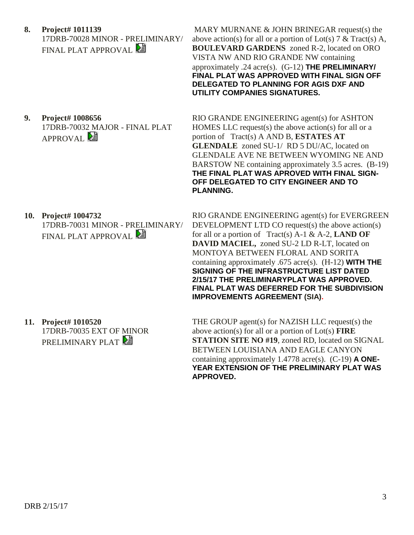**8. Project# 1011139** 17DRB-70028 MINOR - PRELIMINARY/ FINAL PLAT APPROVAL

**9. Project# 1008656** 17DRB-70032 MAJOR - FINAL PLAT  $APPROVAL}$ 

MARY MURNANE & JOHN BRINEGAR request(s) the above action(s) for all or a portion of Lot(s) 7 & Tract(s) A, **BOULEVARD GARDENS** zoned R-2, located on ORO VISTA NW AND RIO GRANDE NW containing approximately .24 acre(s). (G-12) **THE PRELIMINARY/ FINAL PLAT WAS APPROVED WITH FINAL SIGN OFF DELEGATED TO PLANNING FOR AGIS DXF AND UTILITY COMPANIES SIGNATURES.**

RIO GRANDE ENGINEERING agent(s) for ASHTON HOMES LLC request(s) the above action(s) for all or a portion of Tract(s) A AND B, **ESTATES AT GLENDALE** zoned SU-1/ RD 5 DU/AC, located on GLENDALE AVE NE BETWEEN WYOMING NE AND BARSTOW NE containing approximately 3.5 acres. (B-19) **THE FINAL PLAT WAS APROVED WITH FINAL SIGN-OFF DELEGATED TO CITY ENGINEER AND TO PLANNING.**

**10. Project# 1004732** 17DRB-70031 MINOR - PRELIMINARY/ FINAL PLAT APPROVAL

RIO GRANDE ENGINEERING agent(s) for EVERGREEN DEVELOPMENT LTD CO request(s) the above action(s) for all or a portion of Tract(s) A-1 & A-2, **LAND OF DAVID MACIEL,** zoned SU-2 LD R-LT, located on MONTOYA BETWEEN FLORAL AND SORITA containing approximately .675 acre(s). (H-12) **WITH THE SIGNING OF THE INFRASTRUCTURE LIST DATED 2/15/17 THE PRELIMINARYPLAT WAS APPROVED. FINAL PLAT WAS DEFERRED FOR THE SUBDIVISION IMPROVEMENTS AGREEMENT (SIA).**

**11. Project# 1010520** 17DRB-70035 EXT OF MINOR PRELIMINARY PLAT

THE GROUP agent(s) for NAZISH LLC request(s) the above action(s) for all or a portion of Lot(s) **FIRE STATION SITE NO #19**, zoned RD, located on SIGNAL BETWEEN LOUISIANA AND EAGLE CANYON containing approximately 1.4778 acre(s). (C-19) **A ONE-YEAR EXTENSION OF THE PRELIMINARY PLAT WAS APPROVED.**